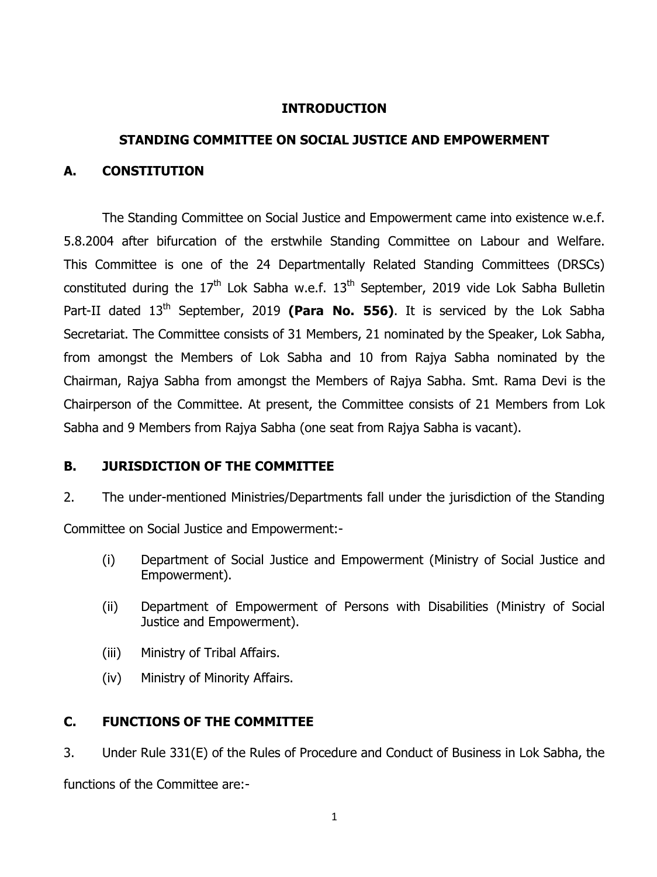#### **INTRODUCTION**

# **STANDING COMMITTEE ON SOCIAL JUSTICE AND EMPOWERMENT**

#### **A. CONSTITUTION**

The Standing Committee on Social Justice and Empowerment came into existence w.e.f. 5.8.2004 after bifurcation of the erstwhile Standing Committee on Labour and Welfare. This Committee is one of the 24 Departmentally Related Standing Committees (DRSCs) constituted during the  $17<sup>th</sup>$  Lok Sabha w.e.f.  $13<sup>th</sup>$  September, 2019 vide Lok Sabha Bulletin Part-II dated 13<sup>th</sup> September, 2019 **(Para No. 556)**. It is serviced by the Lok Sabha Secretariat. The Committee consists of 31 Members, 21 nominated by the Speaker, Lok Sabha, from amongst the Members of Lok Sabha and 10 from Rajya Sabha nominated by the Chairman, Rajya Sabha from amongst the Members of Rajya Sabha. Smt. Rama Devi is the Chairperson of the Committee. At present, the Committee consists of 21 Members from Lok Sabha and 9 Members from Rajya Sabha (one seat from Rajya Sabha is vacant).

## **B. JURISDICTION OF THE COMMITTEE**

2. The under-mentioned Ministries/Departments fall under the jurisdiction of the Standing

Committee on Social Justice and Empowerment:-

- (i) Department of Social Justice and Empowerment (Ministry of Social Justice and Empowerment).
- (ii) Department of Empowerment of Persons with Disabilities (Ministry of Social Justice and Empowerment).
- (iii) Ministry of Tribal Affairs.
- (iv) Ministry of Minority Affairs.

## **C. FUNCTIONS OF THE COMMITTEE**

3. Under Rule 331(E) of the Rules of Procedure and Conduct of Business in Lok Sabha, the functions of the Committee are:-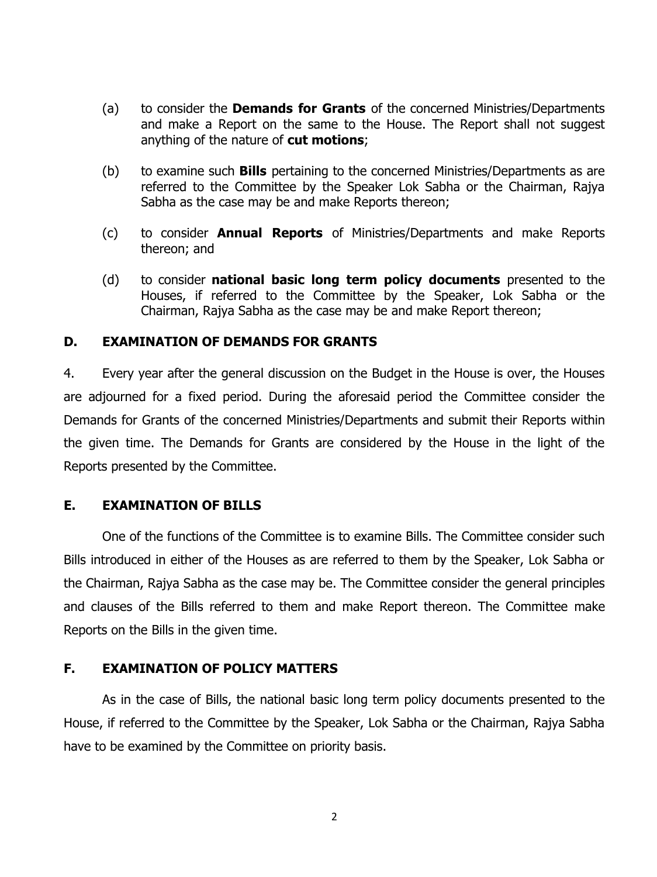- (a) to consider the **Demands for Grants** of the concerned Ministries/Departments and make a Report on the same to the House. The Report shall not suggest anything of the nature of **cut motions**;
- (b) to examine such **Bills** pertaining to the concerned Ministries/Departments as are referred to the Committee by the Speaker Lok Sabha or the Chairman, Rajya Sabha as the case may be and make Reports thereon;
- (c) to consider **Annual Reports** of Ministries/Departments and make Reports thereon; and
- (d) to consider **national basic long term policy documents** presented to the Houses, if referred to the Committee by the Speaker, Lok Sabha or the Chairman, Rajya Sabha as the case may be and make Report thereon;

## **D. EXAMINATION OF DEMANDS FOR GRANTS**

4. Every year after the general discussion on the Budget in the House is over, the Houses are adjourned for a fixed period. During the aforesaid period the Committee consider the Demands for Grants of the concerned Ministries/Departments and submit their Reports within the given time. The Demands for Grants are considered by the House in the light of the Reports presented by the Committee.

## **E. EXAMINATION OF BILLS**

One of the functions of the Committee is to examine Bills. The Committee consider such Bills introduced in either of the Houses as are referred to them by the Speaker, Lok Sabha or the Chairman, Rajya Sabha as the case may be. The Committee consider the general principles and clauses of the Bills referred to them and make Report thereon. The Committee make Reports on the Bills in the given time.

## **F. EXAMINATION OF POLICY MATTERS**

As in the case of Bills, the national basic long term policy documents presented to the House, if referred to the Committee by the Speaker, Lok Sabha or the Chairman, Rajya Sabha have to be examined by the Committee on priority basis.